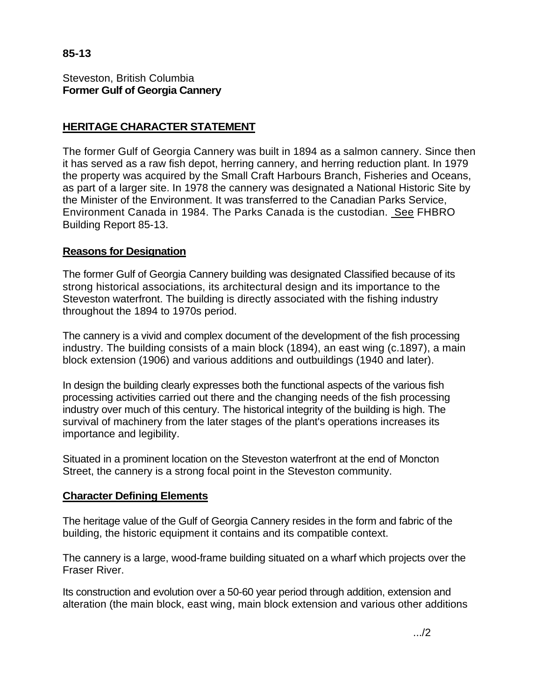**85-13** 

Steveston, British Columbia **Former Gulf of Georgia Cannery** 

# **HERITAGE CHARACTER STATEMENT**

The former Gulf of Georgia Cannery was built in 1894 as a salmon cannery. Since then it has served as a raw fish depot, herring cannery, and herring reduction plant. In 1979 the property was acquired by the Small Craft Harbours Branch, Fisheries and Oceans, as part of a larger site. In 1978 the cannery was designated a National Historic Site by the Minister of the Environment. It was transferred to the Canadian Parks Service, Environment Canada in 1984. The Parks Canada is the custodian. See FHBRO Building Report 85-13.

## **Reasons for Designation**

The former Gulf of Georgia Cannery building was designated Classified because of its strong historical associations, its architectural design and its importance to the Steveston waterfront. The building is directly associated with the fishing industry throughout the 1894 to 1970s period.

The cannery is a vivid and complex document of the development of the fish processing industry. The building consists of a main block (1894), an east wing (c.1897), a main block extension (1906) and various additions and outbuildings (1940 and later).

In design the building clearly expresses both the functional aspects of the various fish processing activities carried out there and the changing needs of the fish processing industry over much of this century. The historical integrity of the building is high. The survival of machinery from the later stages of the plant's operations increases its importance and legibility.

Situated in a prominent location on the Steveston waterfront at the end of Moncton Street, the cannery is a strong focal point in the Steveston community.

#### **Character Defining Elements**

The heritage value of the Gulf of Georgia Cannery resides in the form and fabric of the building, the historic equipment it contains and its compatible context.

The cannery is a large, wood-frame building situated on a wharf which projects over the Fraser River.

Its construction and evolution over a 50-60 year period through addition, extension and alteration (the main block, east wing, main block extension and various other additions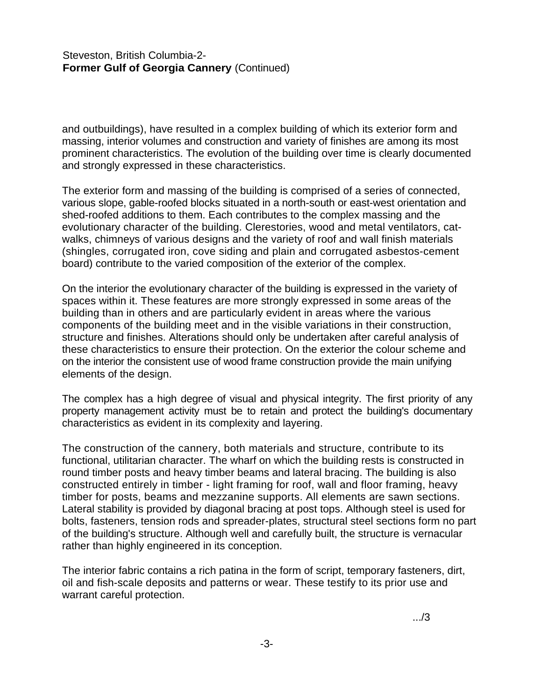### Steveston, British Columbia-2- **Former Gulf of Georgia Cannery** (Continued)

and outbuildings), have resulted in a complex building of which its exterior form and massing, interior volumes and construction and variety of finishes are among its most prominent characteristics. The evolution of the building over time is clearly documented and strongly expressed in these characteristics.

The exterior form and massing of the building is comprised of a series of connected, various slope, gable-roofed blocks situated in a north-south or east-west orientation and shed-roofed additions to them. Each contributes to the complex massing and the evolutionary character of the building. Clerestories, wood and metal ventilators, catwalks, chimneys of various designs and the variety of roof and wall finish materials (shingles, corrugated iron, cove siding and plain and corrugated asbestos-cement board) contribute to the varied composition of the exterior of the complex.

On the interior the evolutionary character of the building is expressed in the variety of spaces within it. These features are more strongly expressed in some areas of the building than in others and are particularly evident in areas where the various components of the building meet and in the visible variations in their construction, structure and finishes. Alterations should only be undertaken after careful analysis of these characteristics to ensure their protection. On the exterior the colour scheme and on the interior the consistent use of wood frame construction provide the main unifying elements of the design.

The complex has a high degree of visual and physical integrity. The first priority of any property management activity must be to retain and protect the building's documentary characteristics as evident in its complexity and layering.

The construction of the cannery, both materials and structure, contribute to its functional, utilitarian character. The wharf on which the building rests is constructed in round timber posts and heavy timber beams and lateral bracing. The building is also constructed entirely in timber - light framing for roof, wall and floor framing, heavy timber for posts, beams and mezzanine supports. All elements are sawn sections. Lateral stability is provided by diagonal bracing at post tops. Although steel is used for bolts, fasteners, tension rods and spreader-plates, structural steel sections form no part of the building's structure. Although well and carefully built, the structure is vernacular rather than highly engineered in its conception.

The interior fabric contains a rich patina in the form of script, temporary fasteners, dirt, oil and fish-scale deposits and patterns or wear. These testify to its prior use and warrant careful protection.

.../3